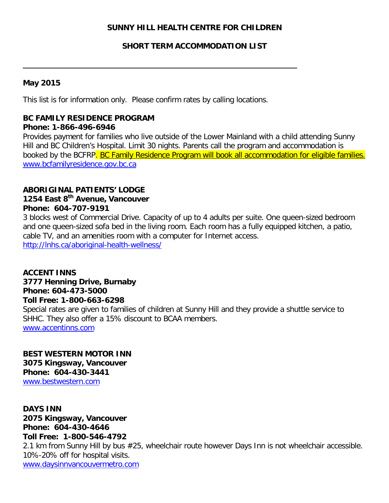# **SUNNY HILL HEALTH CENTRE FOR CHILDREN**

# **SHORT TERM ACCOMMODATION LIST**

## **May 2015**

This list is for information only. Please confirm rates by calling locations.

# **BC FAMILY RESIDENCE PROGRAM**

#### **Phone: 1-866-496-6946**

Provides payment for families who live outside of the Lower Mainland with a child attending Sunny Hill and BC Children's Hospital. Limit 30 nights. Parents call the program and accommodation is booked by the BCFRP. BC Family Residence Program will book all accommodation for eligible families. [www.bcfamilyresidence.gov.bc.ca](http://www.bcfamilyresidence.gov.bc.ca/)

## **ABORIGINAL PATIENTS' LODGE**

# **1254 East 8th Avenue, Vancouver Phone: 604-707-9191**

3 blocks west of Commercial Drive. Capacity of up to 4 adults per suite. One queen-sized bedroom and one queen-sized sofa bed in the living room. Each room has a fully equipped kitchen, a patio, cable TV, and an amenities room with a computer for Internet access. <http://lnhs.ca/aboriginal-health-wellness/>

**ACCENT INNS 3777 Henning Drive, Burnaby Phone: 604-473-5000 Toll Free: 1-800-663-6298** Special rates are given to families of children at Sunny Hill and they provide a shuttle service to SHHC. They also offer a 15% discount to BCAA members. [www.accentinns.com](http://www.accentinns.com/)

**BEST WESTERN MOTOR INN 3075 Kingsway, Vancouver Phone: 604-430-3441** [www.bestwestern.com](http://www.bestwestern.com/) 

**DAYS INN 2075 Kingsway, Vancouver Phone: 604-430-4646 Toll Free: 1-800-546-4792** 2.1 km from Sunny Hill by bus #25, wheelchair route however Days Inn is not wheelchair accessible. 10%-20% off for hospital visits. [www.daysinnvancouvermetro.com](http://www.daysinnvancouvermetro.com/)